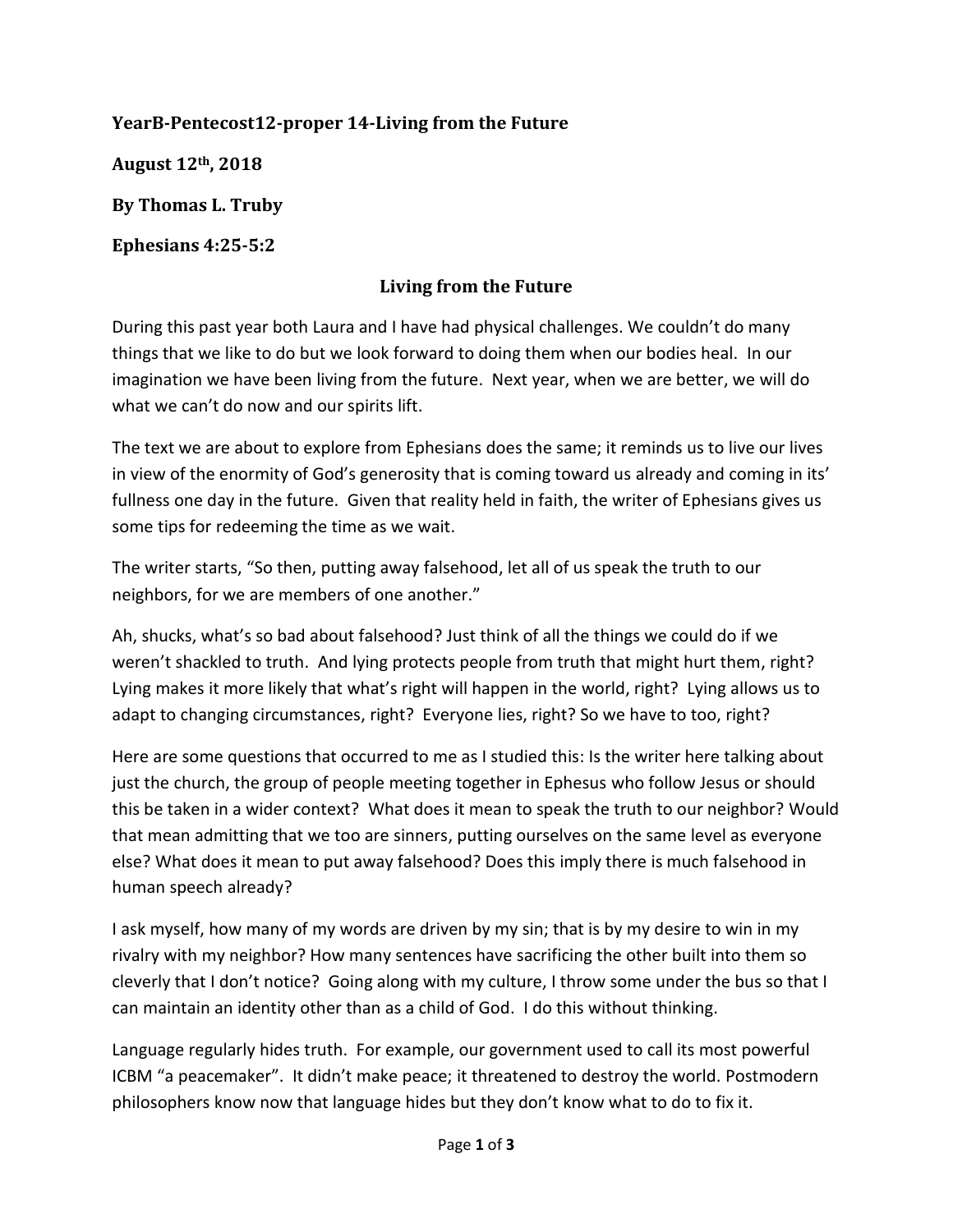## **YearB-Pentecost12-proper 14-Living from the Future**

**August 12th, 2018**

**By Thomas L. Truby**

**Ephesians 4:25-5:2**

## **Living from the Future**

During this past year both Laura and I have had physical challenges. We couldn't do many things that we like to do but we look forward to doing them when our bodies heal. In our imagination we have been living from the future. Next year, when we are better, we will do what we can't do now and our spirits lift.

The text we are about to explore from Ephesians does the same; it reminds us to live our lives in view of the enormity of God's generosity that is coming toward us already and coming in its' fullness one day in the future. Given that reality held in faith, the writer of Ephesians gives us some tips for redeeming the time as we wait.

The writer starts, "So then, putting away falsehood, let all of us speak the truth to our neighbors, for we are members of one another."

Ah, shucks, what's so bad about falsehood? Just think of all the things we could do if we weren't shackled to truth. And lying protects people from truth that might hurt them, right? Lying makes it more likely that what's right will happen in the world, right? Lying allows us to adapt to changing circumstances, right? Everyone lies, right? So we have to too, right?

Here are some questions that occurred to me as I studied this: Is the writer here talking about just the church, the group of people meeting together in Ephesus who follow Jesus or should this be taken in a wider context? What does it mean to speak the truth to our neighbor? Would that mean admitting that we too are sinners, putting ourselves on the same level as everyone else? What does it mean to put away falsehood? Does this imply there is much falsehood in human speech already?

I ask myself, how many of my words are driven by my sin; that is by my desire to win in my rivalry with my neighbor? How many sentences have sacrificing the other built into them so cleverly that I don't notice? Going along with my culture, I throw some under the bus so that I can maintain an identity other than as a child of God. I do this without thinking.

Language regularly hides truth. For example, our government used to call its most powerful ICBM "a peacemaker". It didn't make peace; it threatened to destroy the world. Postmodern philosophers know now that language hides but they don't know what to do to fix it.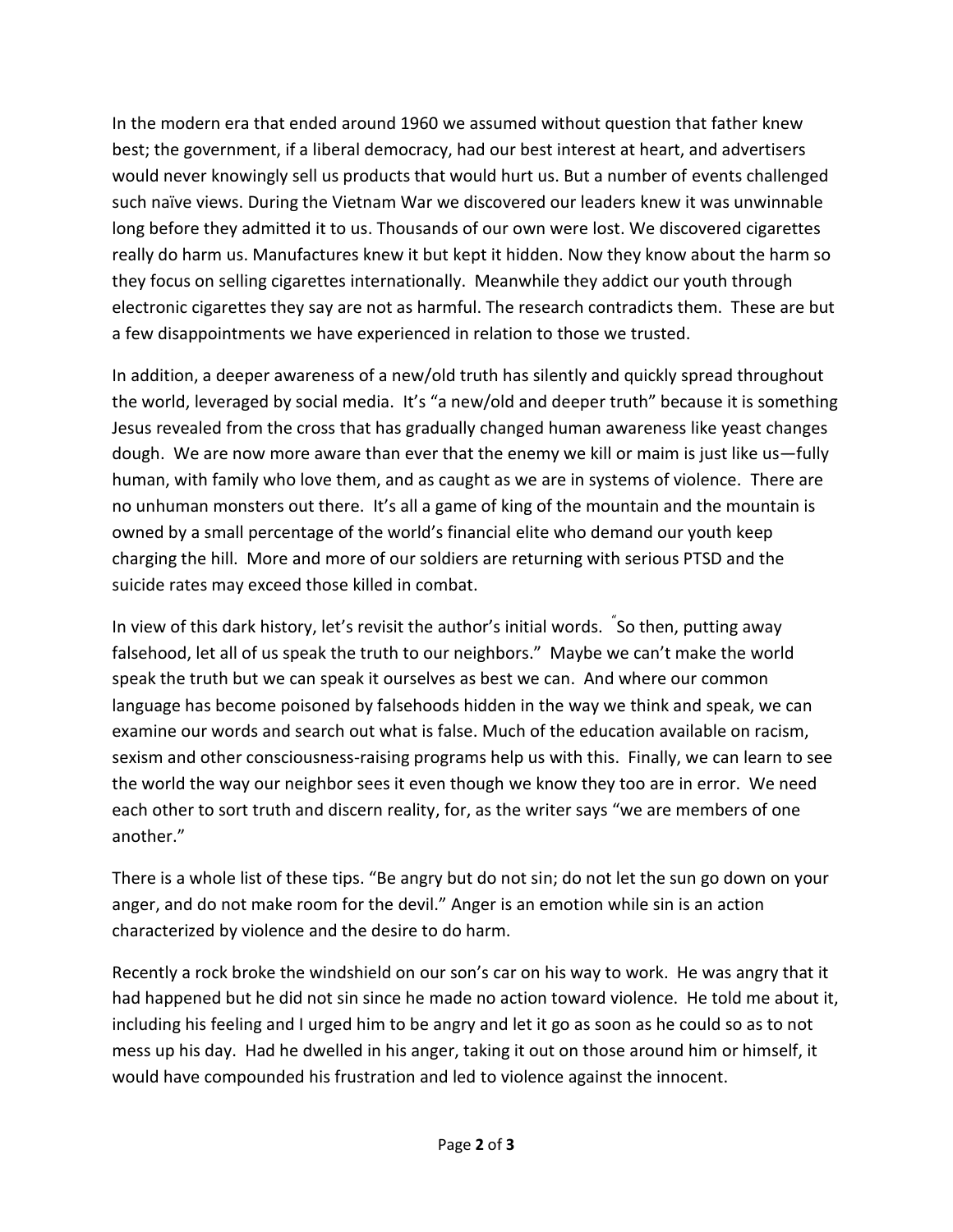In the modern era that ended around 1960 we assumed without question that father knew best; the government, if a liberal democracy, had our best interest at heart, and advertisers would never knowingly sell us products that would hurt us. But a number of events challenged such naïve views. During the Vietnam War we discovered our leaders knew it was unwinnable long before they admitted it to us. Thousands of our own were lost. We discovered cigarettes really do harm us. Manufactures knew it but kept it hidden. Now they know about the harm so they focus on selling cigarettes internationally. Meanwhile they addict our youth through electronic cigarettes they say are not as harmful. The research contradicts them. These are but a few disappointments we have experienced in relation to those we trusted.

In addition, a deeper awareness of a new/old truth has silently and quickly spread throughout the world, leveraged by social media. It's "a new/old and deeper truth" because it is something Jesus revealed from the cross that has gradually changed human awareness like yeast changes dough. We are now more aware than ever that the enemy we kill or maim is just like us—fully human, with family who love them, and as caught as we are in systems of violence. There are no unhuman monsters out there. It's all a game of king of the mountain and the mountain is owned by a small percentage of the world's financial elite who demand our youth keep charging the hill. More and more of our soldiers are returning with serious PTSD and the suicide rates may exceed those killed in combat.

In view of this dark history, let's revisit the author's initial words. <sup>"</sup>So then, putting away falsehood, let all of us speak the truth to our neighbors." Maybe we can't make the world speak the truth but we can speak it ourselves as best we can. And where our common language has become poisoned by falsehoods hidden in the way we think and speak, we can examine our words and search out what is false. Much of the education available on racism, sexism and other consciousness-raising programs help us with this. Finally, we can learn to see the world the way our neighbor sees it even though we know they too are in error. We need each other to sort truth and discern reality, for, as the writer says "we are members of one another."

There is a whole list of these tips. "Be angry but do not sin; do not let the sun go down on your anger, and do not make room for the devil." Anger is an emotion while sin is an action characterized by violence and the desire to do harm.

Recently a rock broke the windshield on our son's car on his way to work. He was angry that it had happened but he did not sin since he made no action toward violence. He told me about it, including his feeling and I urged him to be angry and let it go as soon as he could so as to not mess up his day. Had he dwelled in his anger, taking it out on those around him or himself, it would have compounded his frustration and led to violence against the innocent.